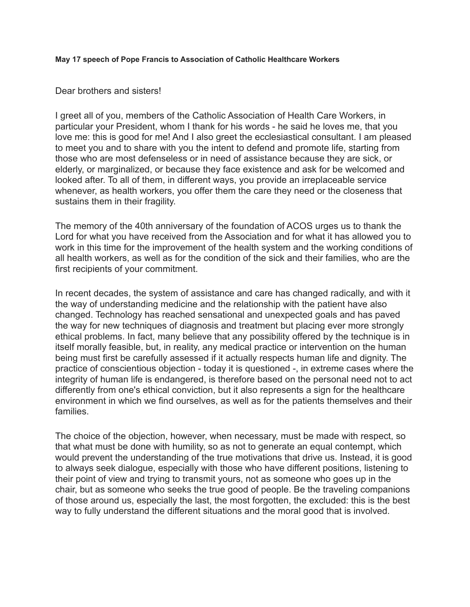## **May 17 speech of Pope Francis to Association of Catholic Healthcare Workers**

## Dear brothers and sisters!

I greet all of you, members of the Catholic Association of Health Care Workers, in particular your President, whom I thank for his words - he said he loves me, that you love me: this is good for me! And I also greet the ecclesiastical consultant. I am pleased to meet you and to share with you the intent to defend and promote life, starting from those who are most defenseless or in need of assistance because they are sick, or elderly, or marginalized, or because they face existence and ask for be welcomed and looked after. To all of them, in different ways, you provide an irreplaceable service whenever, as health workers, you offer them the care they need or the closeness that sustains them in their fragility.

The memory of the 40th anniversary of the foundation of ACOS urges us to thank the Lord for what you have received from the Association and for what it has allowed you to work in this time for the improvement of the health system and the working conditions of all health workers, as well as for the condition of the sick and their families, who are the first recipients of your commitment.

In recent decades, the system of assistance and care has changed radically, and with it the way of understanding medicine and the relationship with the patient have also changed. Technology has reached sensational and unexpected goals and has paved the way for new techniques of diagnosis and treatment but placing ever more strongly ethical problems. In fact, many believe that any possibility offered by the technique is in itself morally feasible, but, in reality, any medical practice or intervention on the human being must first be carefully assessed if it actually respects human life and dignity. The practice of conscientious objection - today it is questioned -, in extreme cases where the integrity of human life is endangered, is therefore based on the personal need not to act differently from one's ethical conviction, but it also represents a sign for the healthcare environment in which we find ourselves, as well as for the patients themselves and their families.

The choice of the objection, however, when necessary, must be made with respect, so that what must be done with humility, so as not to generate an equal contempt, which would prevent the understanding of the true motivations that drive us. Instead, it is good to always seek dialogue, especially with those who have different positions, listening to their point of view and trying to transmit yours, not as someone who goes up in the chair, but as someone who seeks the true good of people. Be the traveling companions of those around us, especially the last, the most forgotten, the excluded: this is the best way to fully understand the different situations and the moral good that is involved.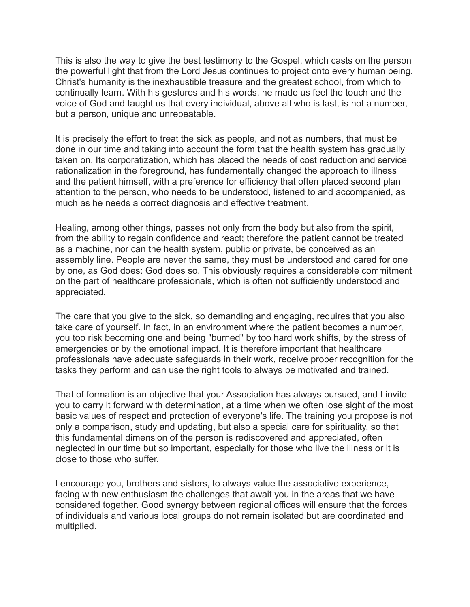This is also the way to give the best testimony to the Gospel, which casts on the person the powerful light that from the Lord Jesus continues to project onto every human being. Christ's humanity is the inexhaustible treasure and the greatest school, from which to continually learn. With his gestures and his words, he made us feel the touch and the voice of God and taught us that every individual, above all who is last, is not a number, but a person, unique and unrepeatable.

It is precisely the effort to treat the sick as people, and not as numbers, that must be done in our time and taking into account the form that the health system has gradually taken on. Its corporatization, which has placed the needs of cost reduction and service rationalization in the foreground, has fundamentally changed the approach to illness and the patient himself, with a preference for efficiency that often placed second plan attention to the person, who needs to be understood, listened to and accompanied, as much as he needs a correct diagnosis and effective treatment.

Healing, among other things, passes not only from the body but also from the spirit, from the ability to regain confidence and react; therefore the patient cannot be treated as a machine, nor can the health system, public or private, be conceived as an assembly line. People are never the same, they must be understood and cared for one by one, as God does: God does so. This obviously requires a considerable commitment on the part of healthcare professionals, which is often not sufficiently understood and appreciated.

The care that you give to the sick, so demanding and engaging, requires that you also take care of yourself. In fact, in an environment where the patient becomes a number, you too risk becoming one and being "burned" by too hard work shifts, by the stress of emergencies or by the emotional impact. It is therefore important that healthcare professionals have adequate safeguards in their work, receive proper recognition for the tasks they perform and can use the right tools to always be motivated and trained.

That of formation is an objective that your Association has always pursued, and I invite you to carry it forward with determination, at a time when we often lose sight of the most basic values of respect and protection of everyone's life. The training you propose is not only a comparison, study and updating, but also a special care for spirituality, so that this fundamental dimension of the person is rediscovered and appreciated, often neglected in our time but so important, especially for those who live the illness or it is close to those who suffer.

I encourage you, brothers and sisters, to always value the associative experience, facing with new enthusiasm the challenges that await you in the areas that we have considered together. Good synergy between regional offices will ensure that the forces of individuals and various local groups do not remain isolated but are coordinated and multiplied.